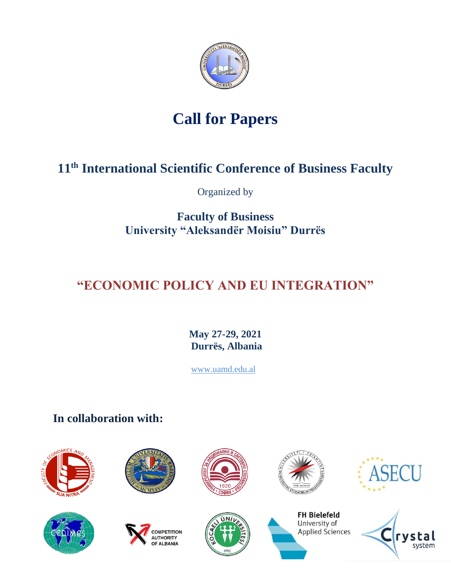

# **Call for Papers**

# **11th International Scientific Conference of Business Faculty**

Organized by

**Faculty of Business University "Aleksandër Moisiu" Durrës**

# **"ECONOMIC POLICY AND EU INTEGRATION"**

**May 27-29, 2021 Durrës, Albania**

[www.uamd.edu.al](http://www.uamd.edu.al/)

**In collaboration with:** 













**FH Bielefeld** University of

Applied Sciences



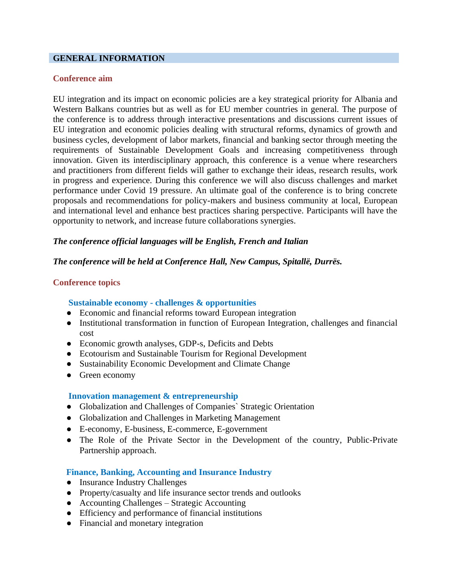# **GENERAL INFORMATION**

### **Conference aim**

EU integration and its impact on economic policies are a key strategical priority for Albania and Western Balkans countries but as well as for EU member countries in general. The purpose of the conference is to address through interactive presentations and discussions current issues of EU integration and economic policies dealing with structural reforms, dynamics of growth and business cycles, development of labor markets, financial and banking sector through meeting the requirements of Sustainable Development Goals and increasing competitiveness through innovation. Given its interdisciplinary approach, this conference is a venue where researchers and practitioners from different fields will gather to exchange their ideas, research results, work in progress and experience. During this conference we will also discuss challenges and market performance under Covid 19 pressure. An ultimate goal of the conference is to bring concrete proposals and recommendations for policy-makers and business community at local, European and international level and enhance best practices sharing perspective. Participants will have the opportunity to network, and increase future collaborations synergies.

# *The conference official languages will be English, French and Italian*

# *The conference will be held at Conference Hall, New Campus, Spitallë, Durrës.*

# **Conference topics**

# **Sustainable economy - challenges & opportunities**

- Economic and financial reforms toward European integration
- Institutional transformation in function of European Integration, challenges and financial cost
- Economic growth analyses, GDP-s, Deficits and Debts
- Ecotourism and Sustainable Tourism for Regional Development
- Sustainability Economic Development and Climate Change
- Green economy

# **Innovation management & entrepreneurship**

- Globalization and Challenges of Companies` Strategic Orientation
- Globalization and Challenges in Marketing Management
- E-economy, E-business, E-commerce, E-government
- The Role of the Private Sector in the Development of the country, Public-Private Partnership approach.

# **Finance, Banking, Accounting and Insurance Industry**

- Insurance Industry Challenges
- Property/casualty and life insurance sector trends and outlooks
- Accounting Challenges Strategic Accounting
- Efficiency and performance of financial institutions
- Financial and monetary integration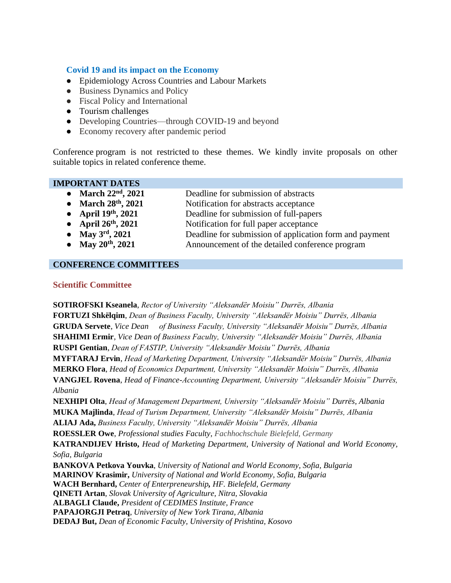### **Covid 19 and its impact on the Economy**

- Epidemiology Across Countries and Labour Markets
- Business Dynamics and Policy
- Fiscal Policy and International
- Tourism challenges
- Developing Countries—through COVID-19 and beyond
- Economy recovery after pandemic period

Conference program is not restricted to these themes. We kindly invite proposals on other suitable topics in related conference theme.

#### **IMPORTANT DATES**

- **March 22nd, 2021** Deadline for submission of abstracts
- 
- **March 28<sup>th</sup>, 2021** Notification for abstracts acceptance<br>● **April 19<sup>th</sup>, 2021** Deadline for submission of full-pape Deadline for submission of full-papers
- **April 26th, 2021** Notification for full paper acceptance
- **May 3<sup>rd</sup>**, 2021 Deadline for submission of application form and payment
- **May 20<sup>th</sup>, 2021** Announcement of the detailed conference program

#### **CONFERENCE COMMITTEES**

#### **Scientific Committee**

**SOTIROFSKI Kseanela**, *Rector of University "Aleksandër Moisiu" Durrës, Albania* **FORTUZI Shkëlqim**, *Dean of Business Faculty, University "Aleksandër Moisiu" Durrës, Albania* **GRUDA Servete**, *Vice Dean of Business Faculty, University "Aleksandër Moisiu" Durrës, Albania* **SHAHIMI Ermir**, *Vice Dean of Business Faculty, University "Aleksandër Moisiu" Durrës, Albania* **RUSPI Gentian**, *Dean of FASTIP, University "Aleksandër Moisiu" Durrës, Albania* **MYFTARAJ Ervin**, *Head of Marketing Department, University "Aleksandër Moisiu" Durrës, Albania* **MERKO Flora**, *Head of Economics Department, University "Aleksandër Moisiu" Durrës, Albania* **VANGJEL Rovena**, *Head of Finance-Accounting Department, University "Aleksandër Moisiu" Durrës, Albania* **NEXHIPI Olta**, *Head of Management Department, University "Aleksandër Moisiu" Durrës, Albania* **MUKA Majlinda**, *Head of Turism Department, University "Aleksandër Moisiu" Durrës, Albania* **ALIAJ Ada,** *Business Faculty, University "Aleksandër Moisiu" Durrës, Albania* **ROESSLER Owe**, *Professional studies Faculty, Fachhochschule Bielefeld, Germany* **KATRANDIJEV Hristo,** *Head of Marketing Department, University of National and World Economy, Sofia, Bulgaria* **BANKOVA Petkova Youvka**, *University of National and World Economy, Sofia, Bulgaria* **MARINOV Krasimir,** *University of National and World Economy, Sofia, Bulgaria* **WACH Bernhard,** *Center of Enterpreneurship, HF. Bielefeld, Germany* **QINETI Artan**, *Slovak University of Agriculture, Nitra, Slovakia* **ALBAGLI Claude,** *President of CEDIMES Institute, France* **PAPAJORGJI Petraq**, *University of New York Tirana, Albania* **DEDAJ But,** *Dean of Economic Faculty, University of Prishtina, Kosovo*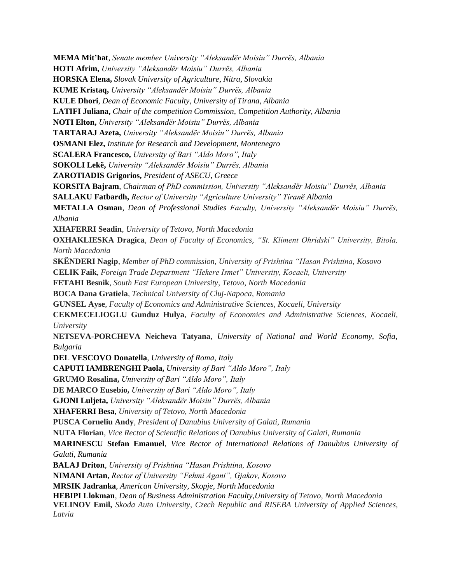**MEMA Mit'hat**, *Senate member University "Aleksandër Moisiu" Durrës, Albania* **HOTI Afrim,** *University "Aleksandër Moisiu" Durrës, Albania* **HORSKA Elena,** *Slovak University of Agriculture, Nitra, Slovakia* **KUME Kristaq,** *University "Aleksandër Moisiu" Durrës, Albania* **KULE Dhori**, *Dean of Economic Faculty, University of Tirana, Albania* **LATIFI Juliana,** *Chair of the competition Commission, Competition Authority, Albania* **NOTI Elton,** *University "Aleksandër Moisiu" Durrës, Albania* **TARTARAJ Azeta,** *University "Aleksandër Moisiu" Durrës, Albania* **OSMANI Elez,** *Institute for Research and Development, Montenegro* **SCALERA Francesco,** *University of Bari "Aldo Moro", Italy* **SOKOLI Lekë,** *University "Aleksandër Moisiu" Durrës, Albania* **ZAROTIADIS Grigorios,** *President of ASECU, Greece* **KORSITA Bajram**, *Chairman of PhD commission, University "Aleksandër Moisiu" Durrës, Albania* **SALLAKU Fatbardh,** *Rector of University "Agriculture University" Tiranë Albania* **METALLA Osman**, *Dean of Professional Studies Faculty, University "Aleksandër Moisiu" Durrës, Albania* **XHAFERRI Seadin**, *University of Tetovo, North Macedonia* **OXHAKLIESKA Dragica**, *Dean of Faculty of Economics, "St. Kliment Ohridski" University, Bitola, North Macedonia* **SKËNDERI Nagip**, *Member of PhD commission, University of Prishtina "Hasan Prishtina, Kosovo* **CELIK Faik**, *Foreign Trade Department "Hekere Ismet" University, Kocaeli, University* **FETAHI Besnik**, *South East European University, Tetovo, North Macedonia* **BOCA Dana Gratiela**, *Technical University of Cluj-Napoca, Romania* **GUNSEL Ayse**, *Faculty of Economics and Administrative Sciences, Kocaeli, University* **CEKMECELIOGLU Gunduz Hulya**, *Faculty of Economics and Administrative Sciences, Kocaeli, University* **NETSEVA-PORCHEVA Neicheva Tatyana**, *University of National and World Economy, Sofia, Bulgaria* **DEL VESCOVO Donatella**, *University of Roma, Italy* **CAPUTI IAMBRENGHI Paola,** *University of Bari "Aldo Moro", Italy* **GRUMO Rosalina,** *University of Bari "Aldo Moro", Italy* **DE MARCO Eusebio,** *University of Bari "Aldo Moro", Italy* **GJONI Luljeta,** *University "Aleksandër Moisiu" Durrës, Albania* **XHAFERRI Besa**, *University of Tetovo, North Macedonia* **PUSCA Corneliu Andy**, *President of Danubius University of Galati, Rumania* **NUTA Florian**, *Vice Rector of Scientific Relations of Danubius University of Galati, Rumania* **MARINESCU Stefan Emanuel**, *Vice Rector of International Relations of Danubius University of Galati, Rumania* **BALAJ Driton**, *University of Prishtina "Hasan Prishtina, Kosovo* **NIMANI Artan**, *Rector of University "Fehmi Agani", Gjakov, Kosovo* **MRSIK Jadranka**, *American University, Skopje, North Macedonia* **HEBIPI Llokman**, *Dean of Business Administration Faculty,University of Tetovo, North Macedonia* **VELINOV Emil,** *Skoda Auto University, Czech Republic and RISEBA University of Applied Sciences, Latvia*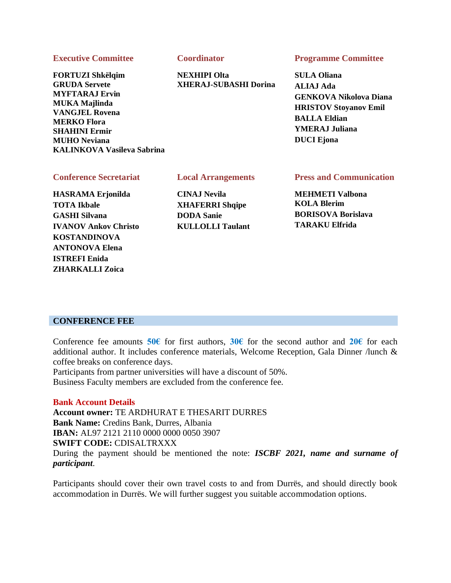#### **Executive Committee**

**FORTUZI Shkëlqim GRUDA Servete MYFTARAJ Ervin MUKA Majlinda VANGJEL Rovena MERKO Flora SHAHINI Ermir MUHO Neviana KALINKOVA Vasileva Sabrina**

#### **Coordinator**

**NEXHIPI Olta XHERAJ-SUBASHI Dorina**

#### **Programme Committee**

**SULA Oliana ALIAJ Ada GENKOVA Nikolova Diana HRISTOV Stoyanov Emil BALLA Eldian YMERAJ Juliana DUCI Ejona**

#### **Conference Secretariat**

**HASRAMA Erjonilda TOTA Ikbale GASHI Silvana IVANOV Ankov Christo KOSTANDINOVA ANTONOVA Elena ISTREFI Enida ZHARKALLI Zoica**

#### **Local Arrangements**

**CINAJ Nevila XHAFERRI Shqipe DODA Sanie KULLOLLI Taulant** **Press and Communication**

**MEHMETI Valbona KOLA Blerim BORISOVA Borislava TARAKU Elfrida** 

#### **CONFERENCE FEE**

Conference fee amounts **50€** for first authors, **30€** for the second author and **20€** for each additional author. It includes conference materials, Welcome Reception, Gala Dinner /lunch & coffee breaks on conference days.

Participants from partner universities will have a discount of 50%.

Business Faculty members are excluded from the conference fee.

#### **Bank Account Details**

**Account owner:** TE ARDHURAT E THESARIT DURRES **Bank Name:** Credins Bank, Durres, Albania **IBAN:** AL97 2121 2110 0000 0000 0050 3907 **SWIFT CODE:** CDISALTRXXX During the payment should be mentioned the note: *ISCBF 2021, name and surname of participant*.

Participants should cover their own travel costs to and from Durrës, and should directly book accommodation in Durrës. We will further suggest you suitable accommodation options.